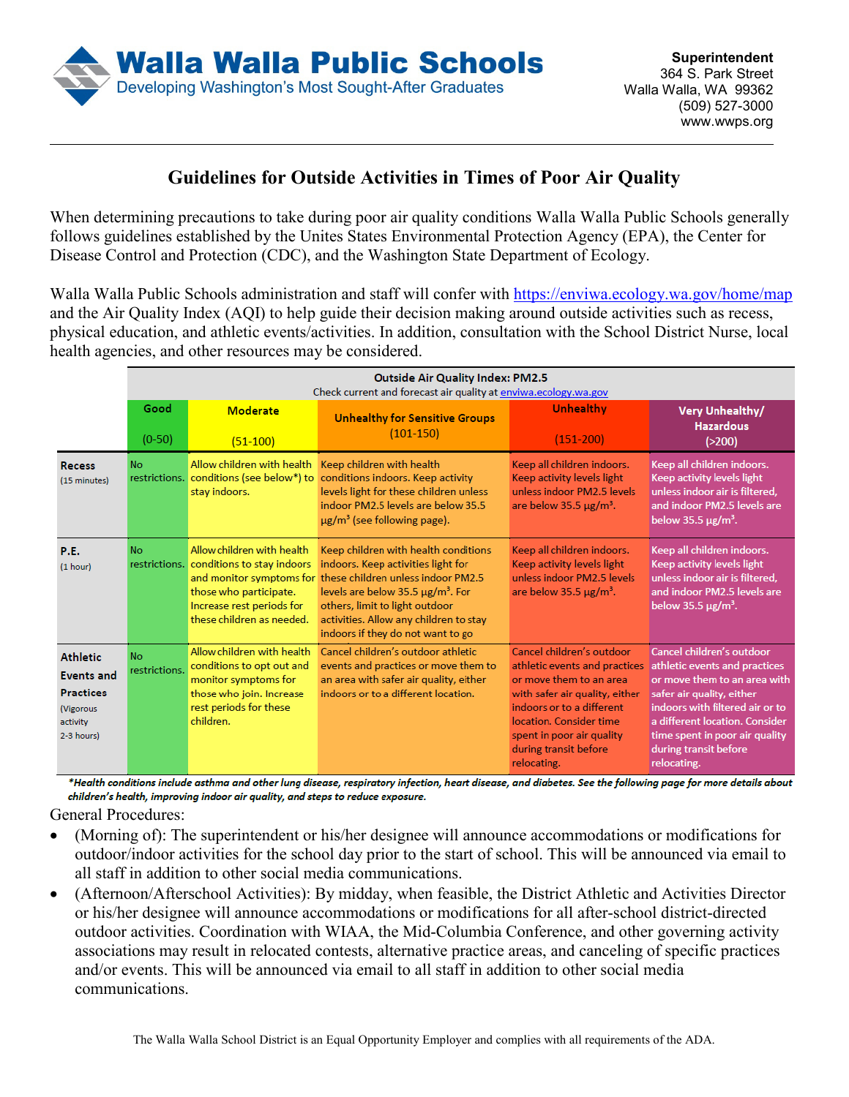

## **Guidelines for Outside Activities in Times of Poor Air Quality**

When determining precautions to take during poor air quality conditions Walla Walla Public Schools generally follows guidelines established by the Unites States Environmental Protection Agency (EPA), the Center for Disease Control and Protection (CDC), and the Washington State Department of Ecology.

Walla Walla Public Schools administration and staff will confer with https://enviwa.ecology.wa.gov/home/map and the Air Quality Index (AQI) to help guide their decision making around outside activities such as recess, physical education, and athletic events/activities. In addition, consultation with the School District Nurse, local health agencies, and other resources may be considered.

|                                                                                                 | <b>Outside Air Quality Index: PM2.5</b><br>Check current and forecast air quality at enviwa.ecology.wa.gov |                                                                                                                                                            |                                                                                                                                                                                                                                                                                                                  |                                                                                                                                                                                                                                                      |                                                                                                                                                                                                                                                                        |
|-------------------------------------------------------------------------------------------------|------------------------------------------------------------------------------------------------------------|------------------------------------------------------------------------------------------------------------------------------------------------------------|------------------------------------------------------------------------------------------------------------------------------------------------------------------------------------------------------------------------------------------------------------------------------------------------------------------|------------------------------------------------------------------------------------------------------------------------------------------------------------------------------------------------------------------------------------------------------|------------------------------------------------------------------------------------------------------------------------------------------------------------------------------------------------------------------------------------------------------------------------|
|                                                                                                 | Good<br>$(0-50)$                                                                                           | <b>Moderate</b><br>$(51-100)$                                                                                                                              | <b>Unhealthy for Sensitive Groups</b><br>$(101-150)$                                                                                                                                                                                                                                                             | Unhealthy<br>$(151-200)$                                                                                                                                                                                                                             | <b>Very Unhealthy/</b><br><b>Hazardous</b><br>( > 200)                                                                                                                                                                                                                 |
| <b>Recess</b><br>(15 minutes)                                                                   | No.<br>restrictions.                                                                                       | Allow children with health<br>conditions (see below*) to<br>stay indoors.                                                                                  | Keep children with health<br>conditions indoors. Keep activity<br>levels light for these children unless<br>indoor PM2.5 levels are below 35.5<br>$\mu$ g/m <sup>3</sup> (see following page).                                                                                                                   | Keep all children indoors.<br>Keep activity levels light<br>unless indoor PM2.5 levels<br>are below $35.5 \,\mathrm{\mu g/m^3}$ .                                                                                                                    | Keep all children indoors.<br>Keep activity levels light<br>unless indoor air is filtered,<br>and indoor PM2.5 levels are<br>below 35.5 $\mu$ g/m <sup>3</sup> .                                                                                                       |
| P.E.<br>(1 hour)                                                                                | <b>No</b>                                                                                                  | Allow children with health<br>restrictions. conditions to stay indoors<br>those who participate.<br>Increase rest periods for<br>these children as needed. | Keep children with health conditions<br>indoors. Keep activities light for<br>and monitor symptoms for these children unless indoor PM2.5<br>levels are below 35.5 $\mu$ g/m <sup>3</sup> . For<br>others, limit to light outdoor<br>activities. Allow any children to stay<br>indoors if they do not want to go | Keep all children indoors.<br>Keep activity levels light<br>unless indoor PM2.5 levels<br>are below $35.5 \mu g/m^3$ .                                                                                                                               | Keep all children indoors.<br>Keep activity levels light<br>unless indoor air is filtered,<br>and indoor PM2.5 levels are<br>below 35.5 $\mu$ g/m <sup>3</sup> .                                                                                                       |
| <b>Athletic</b><br><b>Events and</b><br><b>Practices</b><br>(Vigorous<br>activity<br>2-3 hours) | No.<br>restrictions.                                                                                       | Allow children with health<br>conditions to opt out and<br>monitor symptoms for<br>those who join. Increase<br>rest periods for these<br>children.         | Cancel children's outdoor athletic.<br>events and practices or move them to<br>an area with safer air quality, either<br>indoors or to a different location.                                                                                                                                                     | Cancel children's outdoor<br>athletic events and practices<br>or move them to an area<br>with safer air quality, either<br>indoors or to a different<br>location. Consider time<br>spent in poor air quality<br>during transit before<br>relocating. | Cancel children's outdoor<br>athletic events and practices<br>or move them to an area with<br>safer air quality, either<br>indoors with filtered air or to<br>a different location. Consider<br>time spent in poor air quality<br>during transit before<br>relocating. |

\*Health conditions include asthma and other lung disease, respiratory infection, heart disease, and diabetes. See the following page for more details about children's health, improving indoor air quality, and steps to reduce exposure.

General Procedures:

- (Morning of): The superintendent or his/her designee will announce accommodations or modifications for outdoor/indoor activities for the school day prior to the start of school. This will be announced via email to all staff in addition to other social media communications.
- (Afternoon/Afterschool Activities): By midday, when feasible, the District Athletic and Activities Director or his/her designee will announce accommodations or modifications for all after-school district-directed outdoor activities. Coordination with WIAA, the Mid-Columbia Conference, and other governing activity associations may result in relocated contests, alternative practice areas, and canceling of specific practices and/or events. This will be announced via email to all staff in addition to other social media communications.